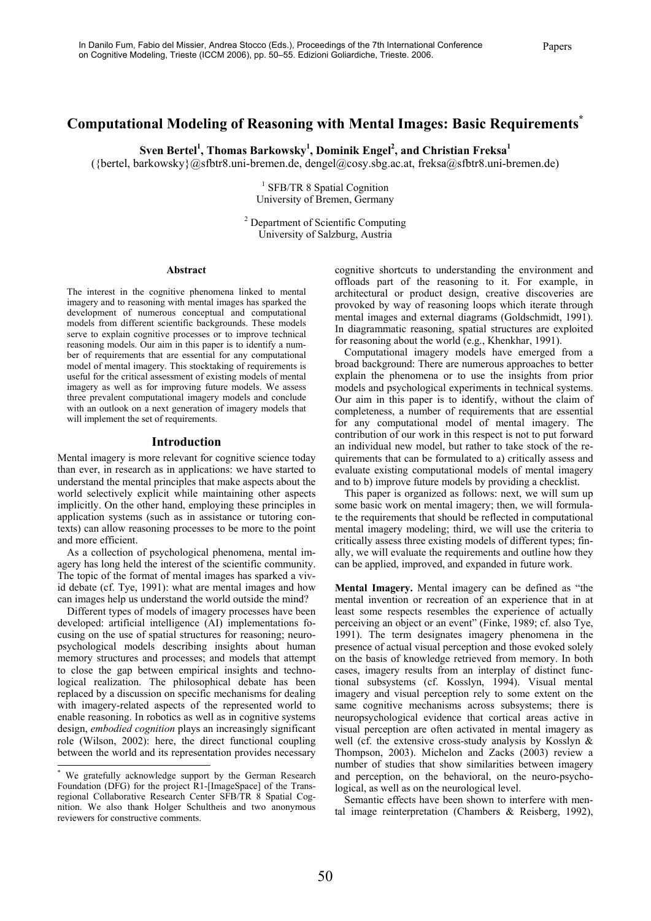# **Computational Modeling of Reasoning with Mental Images: Basic Requirements\***

 $\text{Sven Bertel}^1$ , Thomas Barkowsky<sup>1</sup>, Dominik Engel<sup>2</sup>, and Christian Freksa<sup>1</sup>

({bertel, barkowsky}@sfbtr8.uni-bremen.de, dengel@cosy.sbg.ac.at, freksa@sfbtr8.uni-bremen.de)

<sup>1</sup> SFB/TR 8 Spatial Cognition University of Bremen, Germany

<sup>2</sup> Department of Scientific Computing University of Salzburg, Austria

#### **Abstract\***

The interest in the cognitive phenomena linked to mental imagery and to reasoning with mental images has sparked the development of numerous conceptual and computational models from different scientific backgrounds. These models serve to explain cognitive processes or to improve technical reasoning models. Our aim in this paper is to identify a number of requirements that are essential for any computational model of mental imagery. This stocktaking of requirements is useful for the critical assessment of existing models of mental imagery as well as for improving future models. We assess three prevalent computational imagery models and conclude with an outlook on a next generation of imagery models that will implement the set of requirements.

#### **Introduction**

Mental imagery is more relevant for cognitive science today than ever, in research as in applications: we have started to understand the mental principles that make aspects about the world selectively explicit while maintaining other aspects implicitly. On the other hand, employing these principles in application systems (such as in assistance or tutoring contexts) can allow reasoning processes to be more to the point and more efficient.

As a collection of psychological phenomena, mental imagery has long held the interest of the scientific community. The topic of the format of mental images has sparked a vivid debate (cf. Tye, 1991): what are mental images and how can images help us understand the world outside the mind?

Different types of models of imagery processes have been developed: artificial intelligence (AI) implementations focusing on the use of spatial structures for reasoning; neuropsychological models describing insights about human memory structures and processes; and models that attempt to close the gap between empirical insights and technological realization. The philosophical debate has been replaced by a discussion on specific mechanisms for dealing with imagery-related aspects of the represented world to enable reasoning. In robotics as well as in cognitive systems design, *embodied cognition* plays an increasingly significant role (Wilson, 2002): here, the direct functional coupling between the world and its representation provides necessary

1

cognitive shortcuts to understanding the environment and offloads part of the reasoning to it. For example, in architectural or product design, creative discoveries are provoked by way of reasoning loops which iterate through mental images and external diagrams (Goldschmidt, 1991). In diagrammatic reasoning, spatial structures are exploited for reasoning about the world (e.g., Khenkhar, 1991).

Computational imagery models have emerged from a broad background: There are numerous approaches to better explain the phenomena or to use the insights from prior models and psychological experiments in technical systems. Our aim in this paper is to identify, without the claim of completeness, a number of requirements that are essential for any computational model of mental imagery. The contribution of our work in this respect is not to put forward an individual new model, but rather to take stock of the requirements that can be formulated to a) critically assess and evaluate existing computational models of mental imagery and to b) improve future models by providing a checklist.

This paper is organized as follows: next, we will sum up some basic work on mental imagery; then, we will formulate the requirements that should be reflected in computational mental imagery modeling; third, we will use the criteria to critically assess three existing models of different types; finally, we will evaluate the requirements and outline how they can be applied, improved, and expanded in future work.

**Mental Imagery.** Mental imagery can be defined as "the mental invention or recreation of an experience that in at least some respects resembles the experience of actually perceiving an object or an event" (Finke, 1989; cf. also Tye, 1991). The term designates imagery phenomena in the presence of actual visual perception and those evoked solely on the basis of knowledge retrieved from memory. In both cases, imagery results from an interplay of distinct functional subsystems (cf. Kosslyn, 1994). Visual mental imagery and visual perception rely to some extent on the same cognitive mechanisms across subsystems; there is neuropsychological evidence that cortical areas active in visual perception are often activated in mental imagery as well (cf. the extensive cross-study analysis by Kosslyn & Thompson, 2003). Michelon and Zacks (2003) review a number of studies that show similarities between imagery and perception, on the behavioral, on the neuro-psychological, as well as on the neurological level.

Semantic effects have been shown to interfere with mental image reinterpretation (Chambers & Reisberg, 1992),

<sup>\*</sup> We gratefully acknowledge support by the German Research Foundation (DFG) for the project R1-[ImageSpace] of the Transregional Collaborative Research Center SFB/TR 8 Spatial Cognition. We also thank Holger Schultheis and two anonymous reviewers for constructive comments.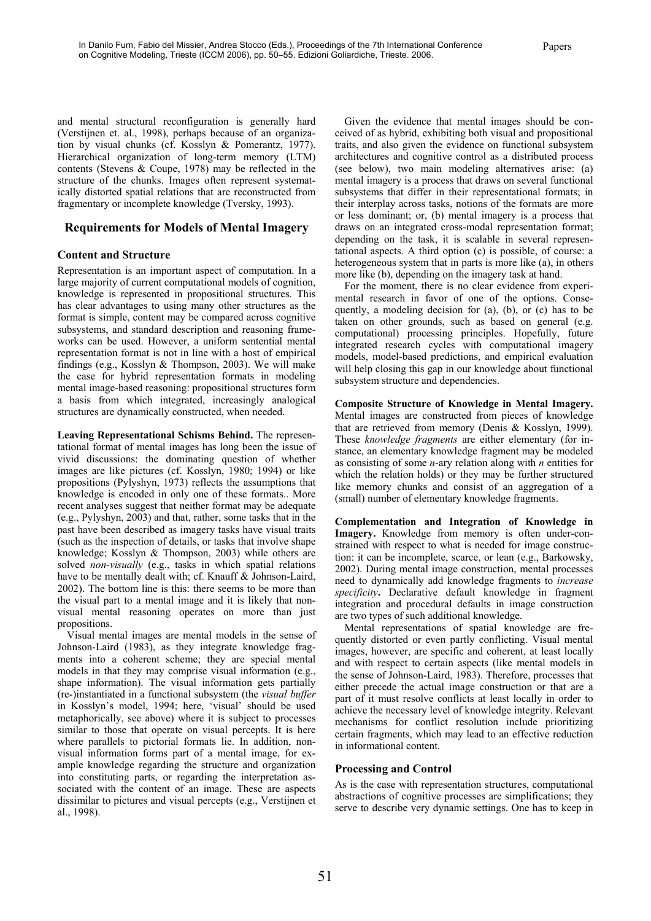and mental structural reconfiguration is generally hard (Verstijnen et. al., 1998), perhaps because of an organization by visual chunks (cf. Kosslyn & Pomerantz, 1977). Hierarchical organization of long-term memory (LTM) contents (Stevens & Coupe, 1978) may be reflected in the structure of the chunks. Images often represent systematically distorted spatial relations that are reconstructed from fragmentary or incomplete knowledge (Tversky, 1993).

### **Requirements for Models of Mental Imagery**

#### **Content and Structure**

Representation is an important aspect of computation. In a large majority of current computational models of cognition, knowledge is represented in propositional structures. This has clear advantages to using many other structures as the format is simple, content may be compared across cognitive subsystems, and standard description and reasoning frameworks can be used. However, a uniform sentential mental representation format is not in line with a host of empirical findings (e.g., Kosslyn & Thompson, 2003). We will make the case for hybrid representation formats in modeling mental image-based reasoning: propositional structures form a basis from which integrated, increasingly analogical structures are dynamically constructed, when needed.

**Leaving Representational Schisms Behind.** The representational format of mental images has long been the issue of vivid discussions: the dominating question of whether images are like pictures (cf. Kosslyn, 1980; 1994) or like propositions (Pylyshyn, 1973) reflects the assumptions that knowledge is encoded in only one of these formats.. More recent analyses suggest that neither format may be adequate (e.g., Pylyshyn, 2003) and that, rather, some tasks that in the past have been described as imagery tasks have visual traits (such as the inspection of details, or tasks that involve shape knowledge; Kosslyn & Thompson, 2003) while others are solved *non-visually* (e.g., tasks in which spatial relations have to be mentally dealt with; cf. Knauff & Johnson-Laird, 2002). The bottom line is this: there seems to be more than the visual part to a mental image and it is likely that nonvisual mental reasoning operates on more than just propositions.

Visual mental images are mental models in the sense of Johnson-Laird (1983), as they integrate knowledge fragments into a coherent scheme; they are special mental models in that they may comprise visual information (e.g., shape information). The visual information gets partially (re-)instantiated in a functional subsystem (the *visual buffer* in Kosslyn's model, 1994; here, 'visual' should be used metaphorically, see above) where it is subject to processes similar to those that operate on visual percepts. It is here where parallels to pictorial formats lie. In addition, nonvisual information forms part of a mental image, for example knowledge regarding the structure and organization into constituting parts, or regarding the interpretation associated with the content of an image. These are aspects dissimilar to pictures and visual percepts (e.g., Verstijnen et al., 1998).

Given the evidence that mental images should be conceived of as hybrid, exhibiting both visual and propositional traits, and also given the evidence on functional subsystem architectures and cognitive control as a distributed process (see below), two main modeling alternatives arise: (a) mental imagery is a process that draws on several functional subsystems that differ in their representational formats; in their interplay across tasks, notions of the formats are more or less dominant; or, (b) mental imagery is a process that draws on an integrated cross-modal representation format; depending on the task, it is scalable in several representational aspects. A third option (c) is possible, of course: a heterogeneous system that in parts is more like (a), in others more like (b), depending on the imagery task at hand.

For the moment, there is no clear evidence from experimental research in favor of one of the options. Consequently, a modeling decision for (a), (b), or (c) has to be taken on other grounds, such as based on general (e.g. computational) processing principles. Hopefully, future integrated research cycles with computational imagery models, model-based predictions, and empirical evaluation will help closing this gap in our knowledge about functional subsystem structure and dependencies.

**Composite Structure of Knowledge in Mental Imagery.**  Mental images are constructed from pieces of knowledge that are retrieved from memory (Denis & Kosslyn, 1999). These *knowledge fragments* are either elementary (for instance, an elementary knowledge fragment may be modeled as consisting of some *n*-ary relation along with *n* entities for which the relation holds) or they may be further structured like memory chunks and consist of an aggregation of a (small) number of elementary knowledge fragments.

**Complementation and Integration of Knowledge in Imagery.** Knowledge from memory is often under-constrained with respect to what is needed for image construction: it can be incomplete, scarce, or lean (e.g., Barkowsky, 2002). During mental image construction, mental processes need to dynamically add knowledge fragments to *increase specificity***.** Declarative default knowledge in fragment integration and procedural defaults in image construction are two types of such additional knowledge.

Mental representations of spatial knowledge are frequently distorted or even partly conflicting. Visual mental images, however, are specific and coherent, at least locally and with respect to certain aspects (like mental models in the sense of Johnson-Laird, 1983). Therefore, processes that either precede the actual image construction or that are a part of it must resolve conflicts at least locally in order to achieve the necessary level of knowledge integrity. Relevant mechanisms for conflict resolution include prioritizing certain fragments, which may lead to an effective reduction in informational content.

### **Processing and Control**

As is the case with representation structures, computational abstractions of cognitive processes are simplifications; they serve to describe very dynamic settings. One has to keep in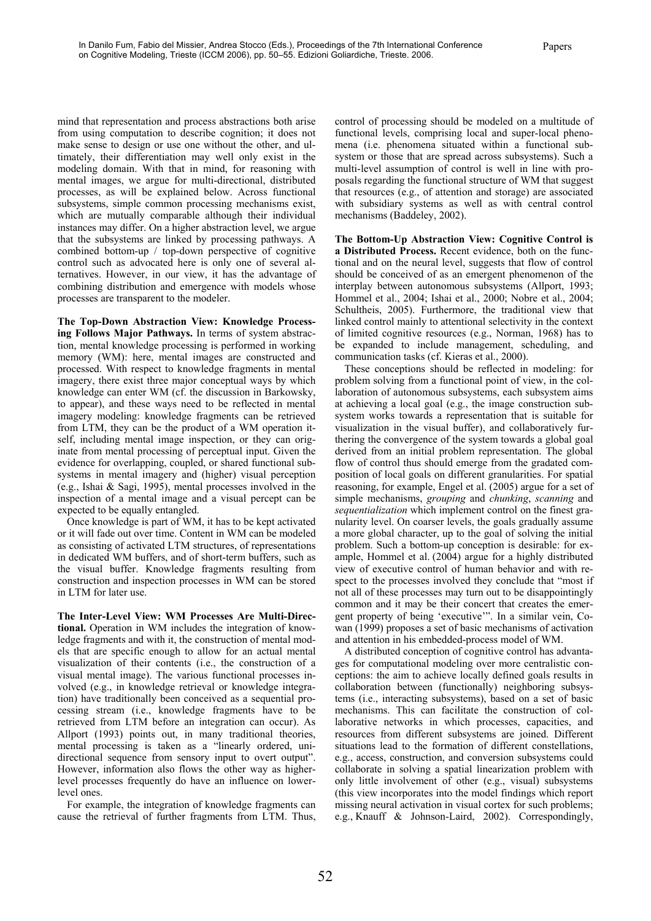mind that representation and process abstractions both arise from using computation to describe cognition; it does not make sense to design or use one without the other, and ultimately, their differentiation may well only exist in the modeling domain. With that in mind, for reasoning with mental images, we argue for multi-directional, distributed processes, as will be explained below. Across functional subsystems, simple common processing mechanisms exist, which are mutually comparable although their individual instances may differ. On a higher abstraction level, we argue that the subsystems are linked by processing pathways. A combined bottom-up / top-down perspective of cognitive control such as advocated here is only one of several alternatives. However, in our view, it has the advantage of combining distribution and emergence with models whose processes are transparent to the modeler.

**The Top-Down Abstraction View: Knowledge Processing Follows Major Pathways.** In terms of system abstraction, mental knowledge processing is performed in working memory (WM): here, mental images are constructed and processed. With respect to knowledge fragments in mental imagery, there exist three major conceptual ways by which knowledge can enter WM (cf. the discussion in Barkowsky, to appear), and these ways need to be reflected in mental imagery modeling: knowledge fragments can be retrieved from LTM, they can be the product of a WM operation itself, including mental image inspection, or they can originate from mental processing of perceptual input. Given the evidence for overlapping, coupled, or shared functional subsystems in mental imagery and (higher) visual perception (e.g., Ishai & Sagi, 1995), mental processes involved in the inspection of a mental image and a visual percept can be expected to be equally entangled.

Once knowledge is part of WM, it has to be kept activated or it will fade out over time. Content in WM can be modeled as consisting of activated LTM structures, of representations in dedicated WM buffers, and of short-term buffers, such as the visual buffer. Knowledge fragments resulting from construction and inspection processes in WM can be stored in LTM for later use.

**The Inter-Level View: WM Processes Are Multi-Directional.** Operation in WM includes the integration of knowledge fragments and with it, the construction of mental models that are specific enough to allow for an actual mental visualization of their contents (i.e., the construction of a visual mental image). The various functional processes involved (e.g., in knowledge retrieval or knowledge integration) have traditionally been conceived as a sequential processing stream (i.e., knowledge fragments have to be retrieved from LTM before an integration can occur). As Allport (1993) points out, in many traditional theories, mental processing is taken as a "linearly ordered, unidirectional sequence from sensory input to overt output". However, information also flows the other way as higherlevel processes frequently do have an influence on lowerlevel ones.

For example, the integration of knowledge fragments can cause the retrieval of further fragments from LTM. Thus,

control of processing should be modeled on a multitude of functional levels, comprising local and super-local phenomena (i.e. phenomena situated within a functional subsystem or those that are spread across subsystems). Such a multi-level assumption of control is well in line with proposals regarding the functional structure of WM that suggest that resources (e.g., of attention and storage) are associated with subsidiary systems as well as with central control mechanisms (Baddeley, 2002).

**The Bottom-Up Abstraction View: Cognitive Control is a Distributed Process.** Recent evidence, both on the functional and on the neural level, suggests that flow of control should be conceived of as an emergent phenomenon of the interplay between autonomous subsystems (Allport, 1993; Hommel et al., 2004; Ishai et al., 2000; Nobre et al., 2004; Schultheis, 2005). Furthermore, the traditional view that linked control mainly to attentional selectivity in the context of limited cognitive resources (e.g., Norman, 1968) has to be expanded to include management, scheduling, and communication tasks (cf. Kieras et al., 2000).

These conceptions should be reflected in modeling: for problem solving from a functional point of view, in the collaboration of autonomous subsystems, each subsystem aims at achieving a local goal (e.g., the image construction subsystem works towards a representation that is suitable for visualization in the visual buffer), and collaboratively furthering the convergence of the system towards a global goal derived from an initial problem representation. The global flow of control thus should emerge from the gradated composition of local goals on different granularities. For spatial reasoning, for example, Engel et al. (2005) argue for a set of simple mechanisms, *grouping* and *chunking*, *scanning* and *sequentialization* which implement control on the finest granularity level. On coarser levels, the goals gradually assume a more global character, up to the goal of solving the initial problem. Such a bottom-up conception is desirable: for example, Hommel et al. (2004) argue for a highly distributed view of executive control of human behavior and with respect to the processes involved they conclude that "most if not all of these processes may turn out to be disappointingly common and it may be their concert that creates the emergent property of being 'executive'". In a similar vein, Cowan (1999) proposes a set of basic mechanisms of activation and attention in his embedded-process model of WM.

A distributed conception of cognitive control has advantages for computational modeling over more centralistic conceptions: the aim to achieve locally defined goals results in collaboration between (functionally) neighboring subsystems (i.e., interacting subsystems), based on a set of basic mechanisms. This can facilitate the construction of collaborative networks in which processes, capacities, and resources from different subsystems are joined. Different situations lead to the formation of different constellations, e.g., access, construction, and conversion subsystems could collaborate in solving a spatial linearization problem with only little involvement of other (e.g., visual) subsystems (this view incorporates into the model findings which report missing neural activation in visual cortex for such problems; e.g., Knauff & Johnson-Laird, 2002). Correspondingly,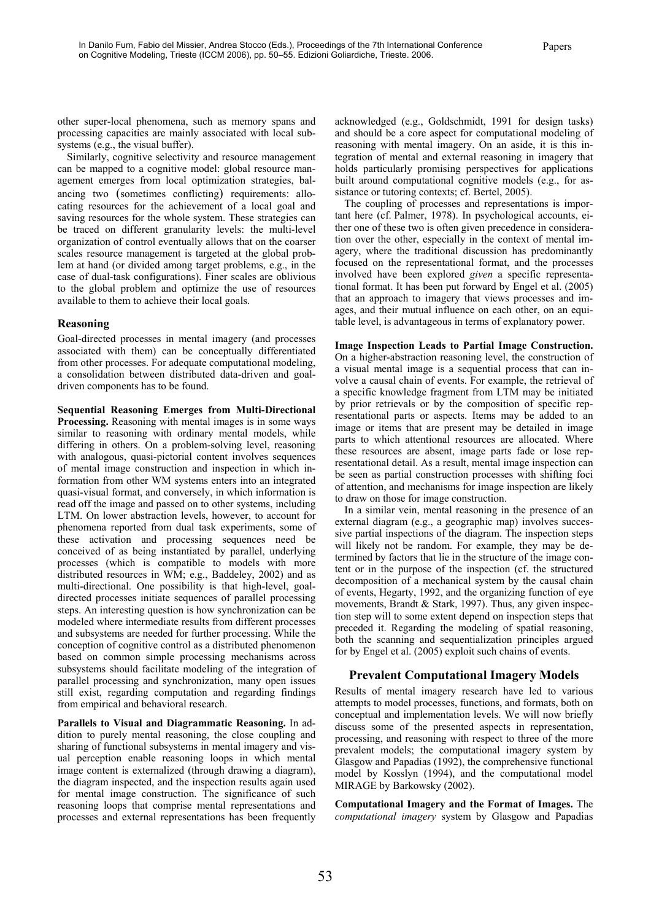other super-local phenomena, such as memory spans and processing capacities are mainly associated with local subsystems (e.g., the visual buffer).

Similarly, cognitive selectivity and resource management can be mapped to a cognitive model: global resource management emerges from local optimization strategies, balancing two (sometimes conflicting) requirements: allocating resources for the achievement of a local goal and saving resources for the whole system. These strategies can be traced on different granularity levels: the multi-level organization of control eventually allows that on the coarser scales resource management is targeted at the global problem at hand (or divided among target problems, e.g., in the case of dual-task configurations). Finer scales are oblivious to the global problem and optimize the use of resources available to them to achieve their local goals.

### **Reasoning**

Goal-directed processes in mental imagery (and processes associated with them) can be conceptually differentiated from other processes. For adequate computational modeling, a consolidation between distributed data-driven and goaldriven components has to be found.

**Sequential Reasoning Emerges from Multi-Directional Processing.** Reasoning with mental images is in some ways similar to reasoning with ordinary mental models, while differing in others. On a problem-solving level, reasoning with analogous, quasi-pictorial content involves sequences of mental image construction and inspection in which information from other WM systems enters into an integrated quasi-visual format, and conversely, in which information is read off the image and passed on to other systems, including LTM. On lower abstraction levels, however, to account for phenomena reported from dual task experiments, some of these activation and processing sequences need be conceived of as being instantiated by parallel, underlying processes (which is compatible to models with more distributed resources in WM; e.g., Baddeley, 2002) and as multi-directional. One possibility is that high-level, goaldirected processes initiate sequences of parallel processing steps. An interesting question is how synchronization can be modeled where intermediate results from different processes and subsystems are needed for further processing. While the conception of cognitive control as a distributed phenomenon based on common simple processing mechanisms across subsystems should facilitate modeling of the integration of parallel processing and synchronization, many open issues still exist, regarding computation and regarding findings from empirical and behavioral research.

**Parallels to Visual and Diagrammatic Reasoning.** In addition to purely mental reasoning, the close coupling and sharing of functional subsystems in mental imagery and visual perception enable reasoning loops in which mental image content is externalized (through drawing a diagram), the diagram inspected, and the inspection results again used for mental image construction. The significance of such reasoning loops that comprise mental representations and processes and external representations has been frequently

acknowledged (e.g., Goldschmidt, 1991 for design tasks) and should be a core aspect for computational modeling of reasoning with mental imagery. On an aside, it is this integration of mental and external reasoning in imagery that holds particularly promising perspectives for applications built around computational cognitive models (e.g., for assistance or tutoring contexts; cf. Bertel, 2005).

The coupling of processes and representations is important here (cf. Palmer, 1978). In psychological accounts, either one of these two is often given precedence in consideration over the other, especially in the context of mental imagery, where the traditional discussion has predominantly focused on the representational format, and the processes involved have been explored *given* a specific representational format. It has been put forward by Engel et al. (2005) that an approach to imagery that views processes and images, and their mutual influence on each other, on an equitable level, is advantageous in terms of explanatory power.

**Image Inspection Leads to Partial Image Construction.**  On a higher-abstraction reasoning level, the construction of a visual mental image is a sequential process that can involve a causal chain of events. For example, the retrieval of a specific knowledge fragment from LTM may be initiated by prior retrievals or by the composition of specific representational parts or aspects. Items may be added to an image or items that are present may be detailed in image parts to which attentional resources are allocated. Where these resources are absent, image parts fade or lose representational detail. As a result, mental image inspection can be seen as partial construction processes with shifting foci of attention, and mechanisms for image inspection are likely to draw on those for image construction.

In a similar vein, mental reasoning in the presence of an external diagram (e.g., a geographic map) involves successive partial inspections of the diagram. The inspection steps will likely not be random. For example, they may be determined by factors that lie in the structure of the image content or in the purpose of the inspection (cf. the structured decomposition of a mechanical system by the causal chain of events, Hegarty, 1992, and the organizing function of eye movements, Brandt & Stark, 1997). Thus, any given inspection step will to some extent depend on inspection steps that preceded it. Regarding the modeling of spatial reasoning, both the scanning and sequentialization principles argued for by Engel et al. (2005) exploit such chains of events.

## **Prevalent Computational Imagery Models**

Results of mental imagery research have led to various attempts to model processes, functions, and formats, both on conceptual and implementation levels. We will now briefly discuss some of the presented aspects in representation, processing, and reasoning with respect to three of the more prevalent models; the computational imagery system by Glasgow and Papadias (1992), the comprehensive functional model by Kosslyn (1994), and the computational model MIRAGE by Barkowsky (2002).

**Computational Imagery and the Format of Images.** The *computational imagery* system by Glasgow and Papadias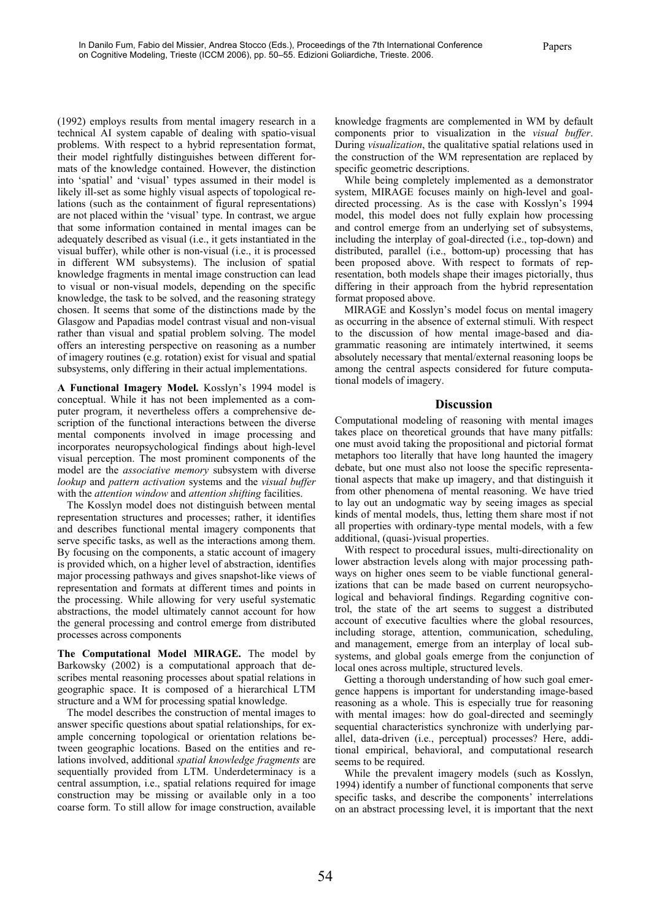(1992) employs results from mental imagery research in a technical AI system capable of dealing with spatio-visual problems. With respect to a hybrid representation format, their model rightfully distinguishes between different formats of the knowledge contained. However, the distinction into 'spatial' and 'visual' types assumed in their model is likely ill-set as some highly visual aspects of topological relations (such as the containment of figural representations) are not placed within the 'visual' type. In contrast, we argue that some information contained in mental images can be adequately described as visual (i.e., it gets instantiated in the visual buffer), while other is non-visual (i.e., it is processed in different WM subsystems). The inclusion of spatial knowledge fragments in mental image construction can lead to visual or non-visual models, depending on the specific knowledge, the task to be solved, and the reasoning strategy chosen. It seems that some of the distinctions made by the Glasgow and Papadias model contrast visual and non-visual rather than visual and spatial problem solving. The model offers an interesting perspective on reasoning as a number of imagery routines (e.g. rotation) exist for visual and spatial subsystems, only differing in their actual implementations.

**A Functional Imagery Model.** Kosslyn's 1994 model is conceptual. While it has not been implemented as a computer program, it nevertheless offers a comprehensive description of the functional interactions between the diverse mental components involved in image processing and incorporates neuropsychological findings about high-level visual perception. The most prominent components of the model are the *associative memory* subsystem with diverse *lookup* and *pattern activation* systems and the *visual buffer* with the *attention window* and *attention shifting* facilities.

The Kosslyn model does not distinguish between mental representation structures and processes; rather, it identifies and describes functional mental imagery components that serve specific tasks, as well as the interactions among them. By focusing on the components, a static account of imagery is provided which, on a higher level of abstraction, identifies major processing pathways and gives snapshot-like views of representation and formats at different times and points in the processing. While allowing for very useful systematic abstractions, the model ultimately cannot account for how the general processing and control emerge from distributed processes across components

**The Computational Model MIRAGE.** The model by Barkowsky (2002) is a computational approach that describes mental reasoning processes about spatial relations in geographic space. It is composed of a hierarchical LTM structure and a WM for processing spatial knowledge.

The model describes the construction of mental images to answer specific questions about spatial relationships, for example concerning topological or orientation relations between geographic locations. Based on the entities and relations involved, additional *spatial knowledge fragments* are sequentially provided from LTM. Underdeterminacy is a central assumption, i.e., spatial relations required for image construction may be missing or available only in a too coarse form. To still allow for image construction, available knowledge fragments are complemented in WM by default components prior to visualization in the *visual buffer*. During *visualization*, the qualitative spatial relations used in the construction of the WM representation are replaced by specific geometric descriptions.

While being completely implemented as a demonstrator system, MIRAGE focuses mainly on high-level and goaldirected processing. As is the case with Kosslyn's 1994 model, this model does not fully explain how processing and control emerge from an underlying set of subsystems, including the interplay of goal-directed (i.e., top-down) and distributed, parallel (i.e., bottom-up) processing that has been proposed above. With respect to formats of representation, both models shape their images pictorially, thus differing in their approach from the hybrid representation format proposed above.

MIRAGE and Kosslyn's model focus on mental imagery as occurring in the absence of external stimuli. With respect to the discussion of how mental image-based and diagrammatic reasoning are intimately intertwined, it seems absolutely necessary that mental/external reasoning loops be among the central aspects considered for future computational models of imagery.

#### **Discussion**

Computational modeling of reasoning with mental images takes place on theoretical grounds that have many pitfalls: one must avoid taking the propositional and pictorial format metaphors too literally that have long haunted the imagery debate, but one must also not loose the specific representational aspects that make up imagery, and that distinguish it from other phenomena of mental reasoning. We have tried to lay out an undogmatic way by seeing images as special kinds of mental models, thus, letting them share most if not all properties with ordinary-type mental models, with a few additional, (quasi-)visual properties.

With respect to procedural issues, multi-directionality on lower abstraction levels along with major processing pathways on higher ones seem to be viable functional generalizations that can be made based on current neuropsychological and behavioral findings. Regarding cognitive control, the state of the art seems to suggest a distributed account of executive faculties where the global resources, including storage, attention, communication, scheduling, and management, emerge from an interplay of local subsystems, and global goals emerge from the conjunction of local ones across multiple, structured levels.

Getting a thorough understanding of how such goal emergence happens is important for understanding image-based reasoning as a whole. This is especially true for reasoning with mental images: how do goal-directed and seemingly sequential characteristics synchronize with underlying parallel, data-driven (i.e., perceptual) processes? Here, additional empirical, behavioral, and computational research seems to be required.

While the prevalent imagery models (such as Kosslyn, 1994) identify a number of functional components that serve specific tasks, and describe the components' interrelations on an abstract processing level, it is important that the next